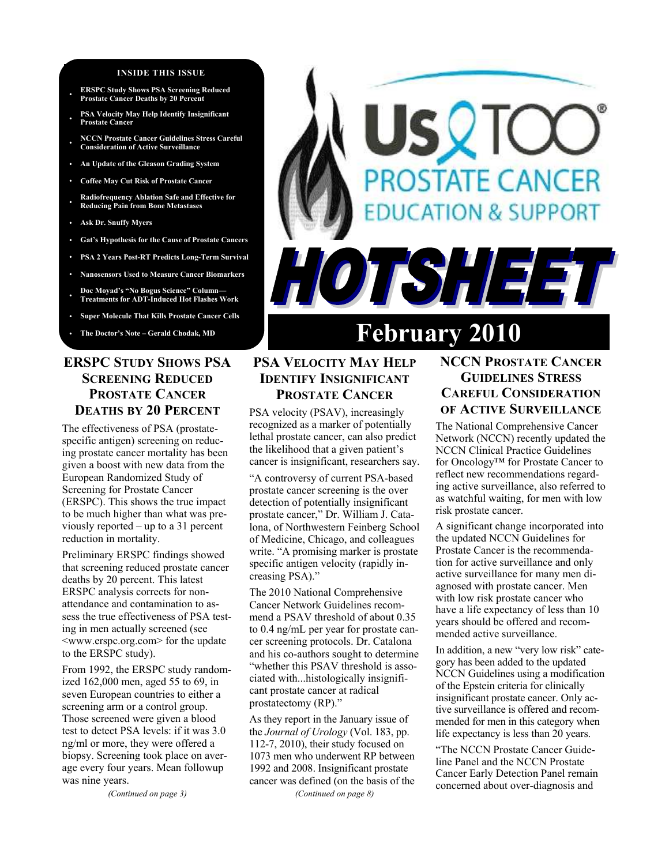#### **INSIDE THIS ISSUE**

- **ERSPC Study Shows PSA Screening Reduced Prostate Cancer Deaths by 20 Percent**
- **PSA Velocity May Help Identify Insignificant Prostate Cancer**
- **NCCN Prostate Cancer Guidelines Stress Careful Consideration of Active Surveillance**
- **An Update of the Gleason Grading System**
- **Coffee May Cut Risk of Prostate Cancer**
- **Radiofrequency Ablation Safe and Effective for Reducing Pain from Bone Metastases**
- **Ask Dr. Snuffy Myers**
- **Gat's Hypothesis for the Cause of Prostate Cancers**
- **PSA 2 Years Post-RT Predicts Long-Term Survival**
- **Nanosensors Used to Measure Cancer Biomarkers**

• **Doc Moyad's "No Bogus Science" Column— Treatments for ADT-Induced Hot Flashes Work** 

- **Super Molecule That Kills Prostate Cancer Cells**
- 

# **ERSPC STUDY SHOWS PSA SCREENING REDUCED PROSTATE CANCER DEATHS BY 20 PERCENT**

The effectiveness of PSA (prostatespecific antigen) screening on reducing prostate cancer mortality has been given a boost with new data from the European Randomized Study of Screening for Prostate Cancer (ERSPC). This shows the true impact to be much higher than what was previously reported – up to a 31 percent reduction in mortality.

Preliminary ERSPC findings showed that screening reduced prostate cancer deaths by 20 percent. This latest ERSPC analysis corrects for nonattendance and contamination to assess the true effectiveness of PSA testing in men actually screened (see <www.erspc.org.com> for the update to the ERSPC study).

From 1992, the ERSPC study randomized 162,000 men, aged 55 to 69, in seven European countries to either a screening arm or a control group. Those screened were given a blood test to detect PSA levels: if it was 3.0 ng/ml or more, they were offered a biopsy. Screening took place on average every four years. Mean followup was nine years.

*(Continued on page 3)* 

# **DSTATE CANCER UCATION & SUPPORT** HOTSHEET

# The Doctor's Note – Gerald Chodak, MD **February 2010**

# **PSA VELOCITY MAY HELP IDENTIFY INSIGNIFICANT PROSTATE CANCER**

PSA velocity (PSAV), increasingly recognized as a marker of potentially lethal prostate cancer, can also predict the likelihood that a given patient's cancer is insignificant, researchers say.

"A controversy of current PSA-based prostate cancer screening is the over detection of potentially insignificant prostate cancer," Dr. William J. Catalona, of Northwestern Feinberg School of Medicine, Chicago, and colleagues write. "A promising marker is prostate specific antigen velocity (rapidly increasing PSA)."

The 2010 National Comprehensive Cancer Network Guidelines recommend a PSAV threshold of about 0.35 to 0.4 ng/mL per year for prostate cancer screening protocols. Dr. Catalona and his co-authors sought to determine "whether this PSAV threshold is associated with...histologically insignificant prostate cancer at radical prostatectomy (RP)."

As they report in the January issue of the *Journal of Urology* (Vol. 183, pp. 112-7, 2010), their study focused on 1073 men who underwent RP between 1992 and 2008. Insignificant prostate cancer was defined (on the basis of the

*(Continued on page 8)* 

# **NCCN PROSTATE CANCER GUIDELINES STRESS CAREFUL CONSIDERATION OF ACTIVE SURVEILLANCE**

The National Comprehensive Cancer Network (NCCN) recently updated the NCCN Clinical Practice Guidelines for Oncology™ for Prostate Cancer to reflect new recommendations regarding active surveillance, also referred to as watchful waiting, for men with low risk prostate cancer.

A significant change incorporated into the updated NCCN Guidelines for Prostate Cancer is the recommendation for active surveillance and only active surveillance for many men diagnosed with prostate cancer. Men with low risk prostate cancer who have a life expectancy of less than 10 years should be offered and recommended active surveillance.

In addition, a new "very low risk" category has been added to the updated NCCN Guidelines using a modification of the Epstein criteria for clinically insignificant prostate cancer. Only active surveillance is offered and recommended for men in this category when life expectancy is less than 20 years.

"The NCCN Prostate Cancer Guideline Panel and the NCCN Prostate Cancer Early Detection Panel remain concerned about over-diagnosis and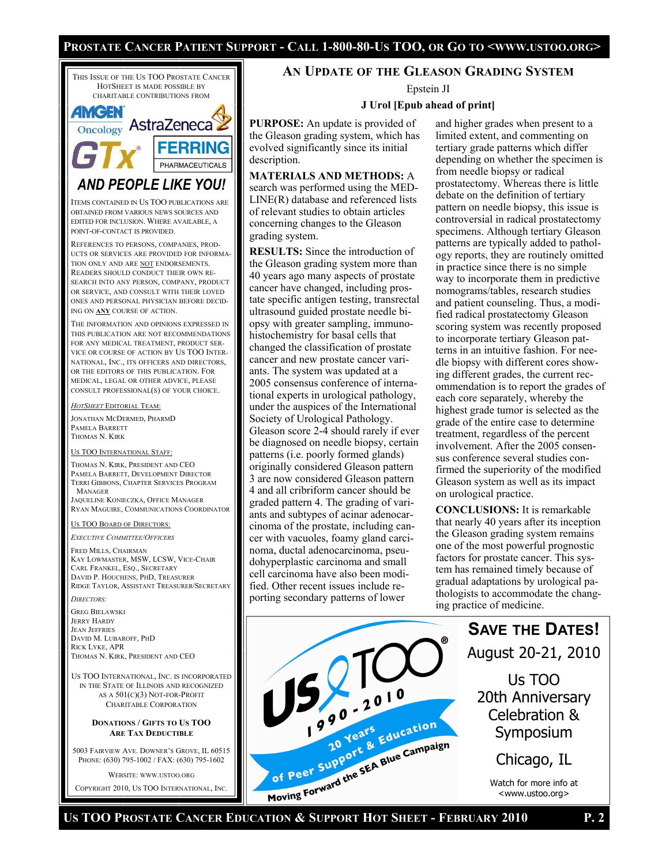# Prostate Cancer Patient Support - Call 1-800-80-Us TOO, or Go to <www.ustoo.org>



COPYRIGHT 2010, US TOO INTERNATIONAL, INC.

# **AN UPDATE OF THE GLEASON GRADING SYSTEM**

Epstein JI

# **J Urol [Epub ahead of print]**

**PURPOSE:** An update is provided of the Gleason grading system, which has evolved significantly since its initial description.

**MATERIALS AND METHODS:** A search was performed using the MED-LINE(R) database and referenced lists of relevant studies to obtain articles concerning changes to the Gleason grading system.

**RESULTS:** Since the introduction of the Gleason grading system more than 40 years ago many aspects of prostate cancer have changed, including prostate specific antigen testing, transrectal ultrasound guided prostate needle biopsy with greater sampling, immunohistochemistry for basal cells that changed the classification of prostate cancer and new prostate cancer variants. The system was updated at a 2005 consensus conference of international experts in urological pathology, under the auspices of the International Society of Urological Pathology. Gleason score 2-4 should rarely if ever be diagnosed on needle biopsy, certain patterns (i.e. poorly formed glands) originally considered Gleason pattern 3 are now considered Gleason pattern 4 and all cribriform cancer should be graded pattern 4. The grading of variants and subtypes of acinar adenocarcinoma of the prostate, including cancer with vacuoles, foamy gland carcinoma, ductal adenocarcinoma, pseudohyperplastic carcinoma and small cell carcinoma have also been modified. Other recent issues include reporting secondary patterns of lower

and higher grades when present to a limited extent, and commenting on tertiary grade patterns which differ depending on whether the specimen is from needle biopsy or radical prostatectomy. Whereas there is little debate on the definition of tertiary pattern on needle biopsy, this issue is controversial in radical prostatectomy specimens. Although tertiary Gleason patterns are typically added to pathology reports, they are routinely omitted in practice since there is no simple way to incorporate them in predictive nomograms/tables, research studies and patient counseling. Thus, a modified radical prostatectomy Gleason scoring system was recently proposed to incorporate tertiary Gleason patterns in an intuitive fashion. For needle biopsy with different cores showing different grades, the current recommendation is to report the grades of each core separately, whereby the highest grade tumor is selected as the grade of the entire case to determine treatment, regardless of the percent involvement. After the 2005 consensus conference several studies confirmed the superiority of the modified Gleason system as well as its impact on urological practice.

**CONCLUSIONS:** It is remarkable that nearly 40 years after its inception the Gleason grading system remains one of the most powerful prognostic factors for prostate cancer. This system has remained timely because of gradual adaptations by urological pathologists to accommodate the changing practice of medicine.



August 20-21, 2010 Us TOO 20th Anniversary Celebration & Symposium

**SAVE THE DATES!** 

Chicago, IL

Watch for more info at <www.ustoo.org>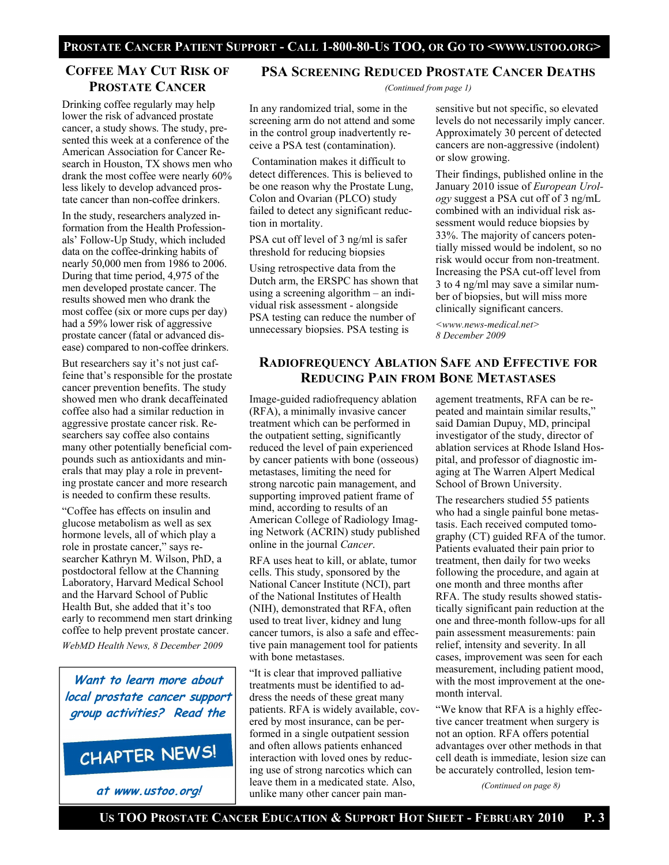# **COFFEE MAY CUT RISK OF PROSTATE CANCER**

Drinking coffee regularly may help lower the risk of advanced prostate cancer, a study shows. The study, presented this week at a conference of the American Association for Cancer Research in Houston, TX shows men who drank the most coffee were nearly 60% less likely to develop advanced prostate cancer than non-coffee drinkers.

In the study, researchers analyzed information from the Health Professionals' Follow-Up Study, which included data on the coffee-drinking habits of nearly 50,000 men from 1986 to 2006. During that time period, 4,975 of the men developed prostate cancer. The results showed men who drank the most coffee (six or more cups per day) had a 59% lower risk of aggressive prostate cancer (fatal or advanced disease) compared to non-coffee drinkers.

But researchers say it's not just caffeine that's responsible for the prostate cancer prevention benefits. The study showed men who drank decaffeinated coffee also had a similar reduction in aggressive prostate cancer risk. Researchers say coffee also contains many other potentially beneficial compounds such as antioxidants and minerals that may play a role in preventing prostate cancer and more research is needed to confirm these results.

"Coffee has effects on insulin and glucose metabolism as well as sex hormone levels, all of which play a role in prostate cancer," says researcher Kathryn M. Wilson, PhD, a postdoctoral fellow at the Channing Laboratory, Harvard Medical School and the Harvard School of Public Health But, she added that it's too early to recommend men start drinking coffee to help prevent prostate cancer.

*WebMD Health News, 8 December 2009* 

**Want to learn more about local prostate cancer support group activities? Read the**

# CHAPTER NEWS!

**at www.ustoo.org!**

# **PSA SCREENING REDUCED PROSTATE CANCER DEATHS**

*(Continued from page 1)* 

In any randomized trial, some in the screening arm do not attend and some in the control group inadvertently receive a PSA test (contamination).

 Contamination makes it difficult to detect differences. This is believed to be one reason why the Prostate Lung, Colon and Ovarian (PLCO) study failed to detect any significant reduction in mortality.

PSA cut off level of 3 ng/ml is safer threshold for reducing biopsies

Using retrospective data from the Dutch arm, the ERSPC has shown that using a screening algorithm – an individual risk assessment - alongside PSA testing can reduce the number of unnecessary biopsies. PSA testing is

sensitive but not specific, so elevated levels do not necessarily imply cancer. Approximately 30 percent of detected cancers are non-aggressive (indolent) or slow growing.

Their findings, published online in the January 2010 issue of *European Urology* suggest a PSA cut off of 3 ng/mL combined with an individual risk assessment would reduce biopsies by 33%. The majority of cancers potentially missed would be indolent, so no risk would occur from non-treatment. Increasing the PSA cut-off level from 3 to 4 ng/ml may save a similar number of biopsies, but will miss more clinically significant cancers.

*<www.news-medical.net> 8 December 2009* 

# **RADIOFREQUENCY ABLATION SAFE AND EFFECTIVE FOR REDUCING PAIN FROM BONE METASTASES**

Image-guided radiofrequency ablation (RFA), a minimally invasive cancer treatment which can be performed in the outpatient setting, significantly reduced the level of pain experienced by cancer patients with bone (osseous) metastases, limiting the need for strong narcotic pain management, and supporting improved patient frame of mind, according to results of an American College of Radiology Imaging Network (ACRIN) study published online in the journal *Cancer*.

RFA uses heat to kill, or ablate, tumor cells. This study, sponsored by the National Cancer Institute (NCI), part of the National Institutes of Health (NIH), demonstrated that RFA, often used to treat liver, kidney and lung cancer tumors, is also a safe and effective pain management tool for patients with bone metastases.

"It is clear that improved palliative treatments must be identified to address the needs of these great many patients. RFA is widely available, covered by most insurance, can be performed in a single outpatient session and often allows patients enhanced interaction with loved ones by reducing use of strong narcotics which can leave them in a medicated state. Also, unlike many other cancer pain man-

agement treatments, RFA can be repeated and maintain similar results," said Damian Dupuy, MD, principal investigator of the study, director of ablation services at Rhode Island Hospital, and professor of diagnostic imaging at The Warren Alpert Medical School of Brown University.

The researchers studied 55 patients who had a single painful bone metastasis. Each received computed tomography (CT) guided RFA of the tumor. Patients evaluated their pain prior to treatment, then daily for two weeks following the procedure, and again at one month and three months after RFA. The study results showed statistically significant pain reduction at the one and three-month follow-ups for all pain assessment measurements: pain relief, intensity and severity. In all cases, improvement was seen for each measurement, including patient mood, with the most improvement at the onemonth interval.

"We know that RFA is a highly effective cancer treatment when surgery is not an option. RFA offers potential advantages over other methods in that cell death is immediate, lesion size can be accurately controlled, lesion tem-

*(Continued on page 8)*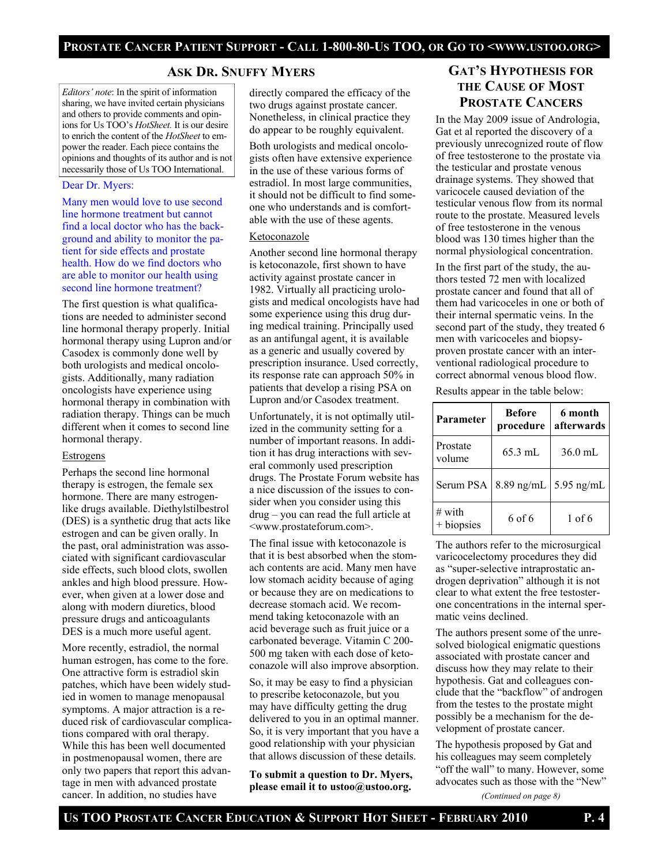# **ASK DR. SNUFFY MYERS**

*Editors' note*: In the spirit of information sharing, we have invited certain physicians and others to provide comments and opinions for Us TOO's *HotSheet.* It is our desire to enrich the content of the *HotSheet* to empower the reader. Each piece contains the opinions and thoughts of its author and is not necessarily those of Us TOO International.

# Dear Dr. Myers:

Many men would love to use second line hormone treatment but cannot find a local doctor who has the background and ability to monitor the patient for side effects and prostate health. How do we find doctors who are able to monitor our health using second line hormone treatment?

The first question is what qualifications are needed to administer second line hormonal therapy properly. Initial hormonal therapy using Lupron and/or Casodex is commonly done well by both urologists and medical oncologists. Additionally, many radiation oncologists have experience using hormonal therapy in combination with radiation therapy. Things can be much different when it comes to second line hormonal therapy.

# **Estrogens**

Perhaps the second line hormonal therapy is estrogen, the female sex hormone. There are many estrogenlike drugs available. Diethylstilbestrol (DES) is a synthetic drug that acts like estrogen and can be given orally. In the past, oral administration was associated with significant cardiovascular side effects, such blood clots, swollen ankles and high blood pressure. However, when given at a lower dose and along with modern diuretics, blood pressure drugs and anticoagulants DES is a much more useful agent.

More recently, estradiol, the normal human estrogen, has come to the fore. One attractive form is estradiol skin patches, which have been widely studied in women to manage menopausal symptoms. A major attraction is a reduced risk of cardiovascular complications compared with oral therapy. While this has been well documented in postmenopausal women, there are only two papers that report this advantage in men with advanced prostate cancer. In addition, no studies have

directly compared the efficacy of the two drugs against prostate cancer. Nonetheless, in clinical practice they do appear to be roughly equivalent.

Both urologists and medical oncologists often have extensive experience in the use of these various forms of estradiol. In most large communities, it should not be difficult to find someone who understands and is comfortable with the use of these agents.

# Ketoconazole

Another second line hormonal therapy is ketoconazole, first shown to have activity against prostate cancer in 1982. Virtually all practicing urologists and medical oncologists have had some experience using this drug during medical training. Principally used as an antifungal agent, it is available as a generic and usually covered by prescription insurance. Used correctly, its response rate can approach 50% in patients that develop a rising PSA on Lupron and/or Casodex treatment.

Unfortunately, it is not optimally utilized in the community setting for a number of important reasons. In addition it has drug interactions with several commonly used prescription drugs. The Prostate Forum website has a nice discussion of the issues to consider when you consider using this drug – you can read the full article at <www.prostateforum.com>.

The final issue with ketoconazole is that it is best absorbed when the stomach contents are acid. Many men have low stomach acidity because of aging or because they are on medications to decrease stomach acid. We recommend taking ketoconazole with an acid beverage such as fruit juice or a carbonated beverage. Vitamin C 200- 500 mg taken with each dose of ketoconazole will also improve absorption.

So, it may be easy to find a physician to prescribe ketoconazole, but you may have difficulty getting the drug delivered to you in an optimal manner. So, it is very important that you have a good relationship with your physician that allows discussion of these details.

**To submit a question to Dr. Myers, please email it to ustoo@ustoo.org.** 

# **GAT'S HYPOTHESIS FOR THE CAUSE OF MOST PROSTATE CANCERS**

In the May 2009 issue of Andrologia, Gat et al reported the discovery of a previously unrecognized route of flow of free testosterone to the prostate via the testicular and prostate venous drainage systems. They showed that varicocele caused deviation of the testicular venous flow from its normal route to the prostate. Measured levels of free testosterone in the venous blood was 130 times higher than the normal physiological concentration.

In the first part of the study, the authors tested 72 men with localized prostate cancer and found that all of them had varicoceles in one or both of their internal spermatic veins. In the second part of the study, they treated 6 men with varicoceles and biopsyproven prostate cancer with an interventional radiological procedure to correct abnormal venous blood flow.

Results appear in the table below:

| Parameter               | <b>Before</b><br>procedure | 6 month<br>afterwards |
|-------------------------|----------------------------|-----------------------|
| Prostate<br>volume      | $65.3$ mL                  | 36.0 mL               |
| Serum PSA               | 8.89 ng/mL 5.95 ng/mL      |                       |
| $\#$ with<br>+ biopsies | 6 of 6                     | $1$ of 6              |

The authors refer to the microsurgical varicocelectomy procedures they did as "super-selective intraprostatic androgen deprivation" although it is not clear to what extent the free testosterone concentrations in the internal spermatic veins declined.

The authors present some of the unresolved biological enigmatic questions associated with prostate cancer and discuss how they may relate to their hypothesis. Gat and colleagues conclude that the "backflow" of androgen from the testes to the prostate might possibly be a mechanism for the development of prostate cancer.

The hypothesis proposed by Gat and his colleagues may seem completely "off the wall" to many. However, some advocates such as those with the "New"

*(Continued on page 8)*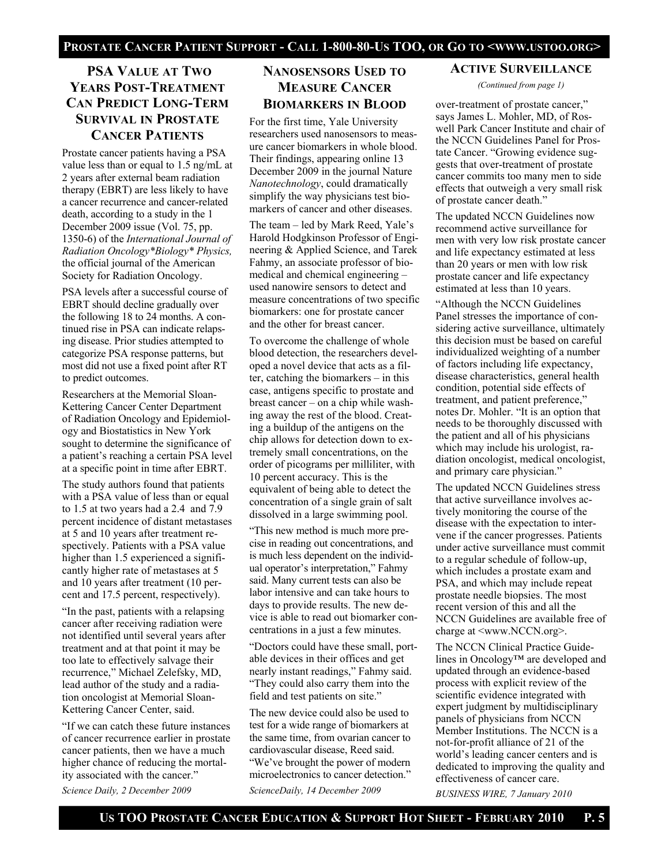# **PSA VALUE AT TWO YEARS POST-TREATMENT CAN PREDICT LONG-TERM SURVIVAL IN PROSTATE CANCER PATIENTS**

Prostate cancer patients having a PSA value less than or equal to 1.5 ng/mL at 2 years after external beam radiation therapy (EBRT) are less likely to have a cancer recurrence and cancer-related death, according to a study in the 1 December 2009 issue (Vol. 75, pp. 1350-6) of the *International Journal of Radiation Oncology\*Biology\* Physics,* the official journal of the American Society for Radiation Oncology.

PSA levels after a successful course of EBRT should decline gradually over the following 18 to 24 months. A continued rise in PSA can indicate relapsing disease. Prior studies attempted to categorize PSA response patterns, but most did not use a fixed point after RT to predict outcomes.

Researchers at the Memorial Sloan-Kettering Cancer Center Department of Radiation Oncology and Epidemiology and Biostatistics in New York sought to determine the significance of a patient's reaching a certain PSA level at a specific point in time after EBRT.

The study authors found that patients with a PSA value of less than or equal to 1.5 at two years had a 2.4 and 7.9 percent incidence of distant metastases at 5 and 10 years after treatment respectively. Patients with a PSA value higher than 1.5 experienced a significantly higher rate of metastases at 5 and 10 years after treatment (10 percent and 17.5 percent, respectively).

"In the past, patients with a relapsing cancer after receiving radiation were not identified until several years after treatment and at that point it may be too late to effectively salvage their recurrence," Michael Zelefsky, MD, lead author of the study and a radiation oncologist at Memorial Sloan-Kettering Cancer Center, said.

"If we can catch these future instances of cancer recurrence earlier in prostate cancer patients, then we have a much higher chance of reducing the mortality associated with the cancer."

*Science Daily, 2 December 2009* 

# **NANOSENSORS USED TO MEASURE CANCER BIOMARKERS IN BLOOD**

For the first time, Yale University researchers used nanosensors to measure cancer biomarkers in whole blood. Their findings, appearing online 13 December 2009 in the journal Nature *Nanotechnology*, could dramatically simplify the way physicians test biomarkers of cancer and other diseases.

The team – led by Mark Reed, Yale's Harold Hodgkinson Professor of Engineering & Applied Science, and Tarek Fahmy, an associate professor of biomedical and chemical engineering – used nanowire sensors to detect and measure concentrations of two specific biomarkers: one for prostate cancer and the other for breast cancer.

To overcome the challenge of whole blood detection, the researchers developed a novel device that acts as a filter, catching the biomarkers – in this case, antigens specific to prostate and breast cancer – on a chip while washing away the rest of the blood. Creating a buildup of the antigens on the chip allows for detection down to extremely small concentrations, on the order of picograms per milliliter, with 10 percent accuracy. This is the equivalent of being able to detect the concentration of a single grain of salt dissolved in a large swimming pool.

"This new method is much more precise in reading out concentrations, and is much less dependent on the individual operator's interpretation," Fahmy said. Many current tests can also be labor intensive and can take hours to days to provide results. The new device is able to read out biomarker concentrations in a just a few minutes.

"Doctors could have these small, portable devices in their offices and get nearly instant readings," Fahmy said. "They could also carry them into the field and test patients on site."

The new device could also be used to test for a wide range of biomarkers at the same time, from ovarian cancer to cardiovascular disease, Reed said. "We've brought the power of modern microelectronics to cancer detection."

*ScienceDaily, 14 December 2009* 

# **ACTIVE SURVEILLANCE**

*(Continued from page 1)* 

over-treatment of prostate cancer," says James L. Mohler, MD, of Roswell Park Cancer Institute and chair of the NCCN Guidelines Panel for Prostate Cancer. "Growing evidence suggests that over-treatment of prostate cancer commits too many men to side effects that outweigh a very small risk of prostate cancer death."

The updated NCCN Guidelines now recommend active surveillance for men with very low risk prostate cancer and life expectancy estimated at less than 20 years or men with low risk prostate cancer and life expectancy estimated at less than 10 years.

"Although the NCCN Guidelines Panel stresses the importance of considering active surveillance, ultimately this decision must be based on careful individualized weighting of a number of factors including life expectancy, disease characteristics, general health condition, potential side effects of treatment, and patient preference," notes Dr. Mohler. "It is an option that needs to be thoroughly discussed with the patient and all of his physicians which may include his urologist, radiation oncologist, medical oncologist, and primary care physician."

The updated NCCN Guidelines stress that active surveillance involves actively monitoring the course of the disease with the expectation to intervene if the cancer progresses. Patients under active surveillance must commit to a regular schedule of follow-up, which includes a prostate exam and PSA, and which may include repeat prostate needle biopsies. The most recent version of this and all the NCCN Guidelines are available free of charge at <www.NCCN.org>.

The NCCN Clinical Practice Guidelines in Oncology™ are developed and updated through an evidence-based process with explicit review of the scientific evidence integrated with expert judgment by multidisciplinary panels of physicians from NCCN Member Institutions. The NCCN is a not-for-profit alliance of 21 of the world's leading cancer centers and is dedicated to improving the quality and effectiveness of cancer care.

*BUSINESS WIRE, 7 January 2010*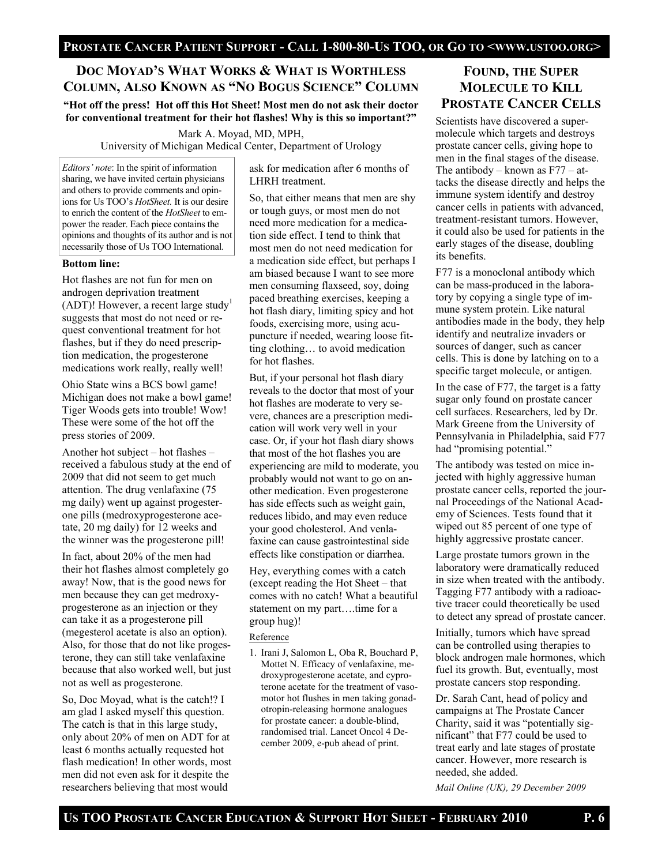# **DOC MOYAD'S WHAT WORKS & WHAT IS WORTHLESS COLUMN, ALSO KNOWN AS "NO BOGUS SCIENCE" COLUMN**

**"Hot off the press! Hot off this Hot Sheet! Most men do not ask their doctor for conventional treatment for their hot flashes! Why is this so important?"** 

> Mark A. Moyad, MD, MPH, University of Michigan Medical Center, Department of Urology

*Editors' note*: In the spirit of information sharing, we have invited certain physicians and others to provide comments and opinions for Us TOO's *HotSheet.* It is our desire to enrich the content of the *HotSheet* to empower the reader. Each piece contains the opinions and thoughts of its author and is not necessarily those of Us TOO International.

# **Bottom line:**

Hot flashes are not fun for men on androgen deprivation treatment (ADT)! However, a recent large study<sup>1</sup> suggests that most do not need or request conventional treatment for hot flashes, but if they do need prescription medication, the progesterone medications work really, really well!

Ohio State wins a BCS bowl game! Michigan does not make a bowl game! Tiger Woods gets into trouble! Wow! These were some of the hot off the press stories of 2009.

Another hot subject – hot flashes – received a fabulous study at the end of 2009 that did not seem to get much attention. The drug venlafaxine (75 mg daily) went up against progesterone pills (medroxyprogesterone acetate, 20 mg daily) for 12 weeks and the winner was the progesterone pill!

In fact, about 20% of the men had their hot flashes almost completely go away! Now, that is the good news for men because they can get medroxyprogesterone as an injection or they can take it as a progesterone pill (megesterol acetate is also an option). Also, for those that do not like progesterone, they can still take venlafaxine because that also worked well, but just not as well as progesterone.

So, Doc Moyad, what is the catch!? I am glad I asked myself this question. The catch is that in this large study, only about 20% of men on ADT for at least 6 months actually requested hot flash medication! In other words, most men did not even ask for it despite the researchers believing that most would

ask for medication after 6 months of LHRH treatment.

So, that either means that men are shy or tough guys, or most men do not need more medication for a medication side effect. I tend to think that most men do not need medication for a medication side effect, but perhaps I am biased because I want to see more men consuming flaxseed, soy, doing paced breathing exercises, keeping a hot flash diary, limiting spicy and hot foods, exercising more, using acupuncture if needed, wearing loose fitting clothing… to avoid medication for hot flashes.

But, if your personal hot flash diary reveals to the doctor that most of your hot flashes are moderate to very severe, chances are a prescription medication will work very well in your case. Or, if your hot flash diary shows that most of the hot flashes you are experiencing are mild to moderate, you probably would not want to go on another medication. Even progesterone has side effects such as weight gain, reduces libido, and may even reduce your good cholesterol. And venlafaxine can cause gastrointestinal side effects like constipation or diarrhea.

Hey, everything comes with a catch (except reading the Hot Sheet – that comes with no catch! What a beautiful statement on my part....time for a group hug)!

# Reference

1. Irani J, Salomon L, Oba R, Bouchard P, Mottet N. Efficacy of venlafaxine, medroxyprogesterone acetate, and cyproterone acetate for the treatment of vasomotor hot flushes in men taking gonadotropin-releasing hormone analogues for prostate cancer: a double-blind, randomised trial. Lancet Oncol 4 December 2009, e-pub ahead of print.

# **FOUND, THE SUPER MOLECULE TO KILL PROSTATE CANCER CELLS**

Scientists have discovered a supermolecule which targets and destroys prostate cancer cells, giving hope to men in the final stages of the disease. The antibody – known as F77 – attacks the disease directly and helps the immune system identify and destroy cancer cells in patients with advanced, treatment-resistant tumors. However, it could also be used for patients in the early stages of the disease, doubling its benefits.

F77 is a monoclonal antibody which can be mass-produced in the laboratory by copying a single type of immune system protein. Like natural antibodies made in the body, they help identify and neutralize invaders or sources of danger, such as cancer cells. This is done by latching on to a specific target molecule, or antigen.

In the case of F77, the target is a fatty sugar only found on prostate cancer cell surfaces. Researchers, led by Dr. Mark Greene from the University of Pennsylvania in Philadelphia, said F77 had "promising potential."

The antibody was tested on mice injected with highly aggressive human prostate cancer cells, reported the journal Proceedings of the National Academy of Sciences. Tests found that it wiped out 85 percent of one type of highly aggressive prostate cancer.

Large prostate tumors grown in the laboratory were dramatically reduced in size when treated with the antibody. Tagging F77 antibody with a radioactive tracer could theoretically be used to detect any spread of prostate cancer.

Initially, tumors which have spread can be controlled using therapies to block androgen male hormones, which fuel its growth. But, eventually, most prostate cancers stop responding.

Dr. Sarah Cant, head of policy and campaigns at The Prostate Cancer Charity, said it was "potentially significant" that F77 could be used to treat early and late stages of prostate cancer. However, more research is needed, she added.

*Mail Online (UK), 29 December 2009*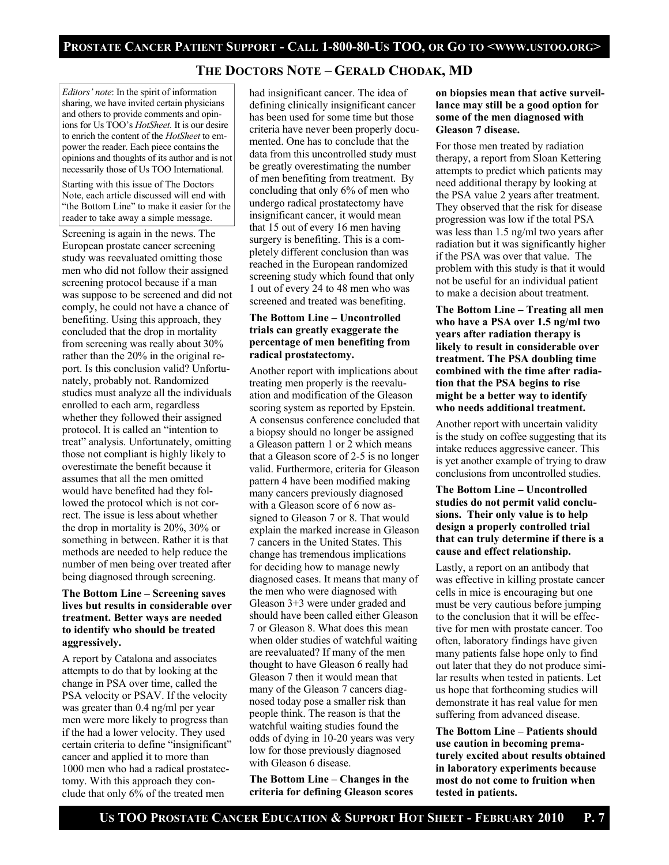# **THE DOCTORS NOTE – GERALD CHODAK, MD**

*Editors' note*: In the spirit of information sharing, we have invited certain physicians and others to provide comments and opinions for Us TOO's *HotSheet.* It is our desire to enrich the content of the *HotSheet* to empower the reader. Each piece contains the opinions and thoughts of its author and is not necessarily those of Us TOO International.

Starting with this issue of The Doctors Note, each article discussed will end with "the Bottom Line" to make it easier for the reader to take away a simple message.

Screening is again in the news. The European prostate cancer screening study was reevaluated omitting those men who did not follow their assigned screening protocol because if a man was suppose to be screened and did not comply, he could not have a chance of benefiting. Using this approach, they concluded that the drop in mortality from screening was really about 30% rather than the 20% in the original report. Is this conclusion valid? Unfortunately, probably not. Randomized studies must analyze all the individuals enrolled to each arm, regardless whether they followed their assigned protocol. It is called an "intention to treat" analysis. Unfortunately, omitting those not compliant is highly likely to overestimate the benefit because it assumes that all the men omitted would have benefited had they followed the protocol which is not correct. The issue is less about whether the drop in mortality is 20%, 30% or something in between. Rather it is that methods are needed to help reduce the number of men being over treated after being diagnosed through screening.

# **The Bottom Line – Screening saves lives but results in considerable over treatment. Better ways are needed to identify who should be treated aggressively.**

A report by Catalona and associates attempts to do that by looking at the change in PSA over time, called the PSA velocity or PSAV. If the velocity was greater than 0.4 ng/ml per year men were more likely to progress than if the had a lower velocity. They used certain criteria to define "insignificant" cancer and applied it to more than 1000 men who had a radical prostatectomy. With this approach they conclude that only 6% of the treated men

had insignificant cancer. The idea of defining clinically insignificant cancer has been used for some time but those criteria have never been properly documented. One has to conclude that the data from this uncontrolled study must be greatly overestimating the number of men benefiting from treatment. By concluding that only 6% of men who undergo radical prostatectomy have insignificant cancer, it would mean that 15 out of every 16 men having surgery is benefiting. This is a completely different conclusion than was reached in the European randomized screening study which found that only 1 out of every 24 to 48 men who was screened and treated was benefiting.

# **The Bottom Line – Uncontrolled trials can greatly exaggerate the percentage of men benefiting from radical prostatectomy.**

Another report with implications about treating men properly is the reevaluation and modification of the Gleason scoring system as reported by Epstein. A consensus conference concluded that a biopsy should no longer be assigned a Gleason pattern 1 or 2 which means that a Gleason score of 2-5 is no longer valid. Furthermore, criteria for Gleason pattern 4 have been modified making many cancers previously diagnosed with a Gleason score of 6 now assigned to Gleason 7 or 8. That would explain the marked increase in Gleason 7 cancers in the United States. This change has tremendous implications for deciding how to manage newly diagnosed cases. It means that many of the men who were diagnosed with Gleason 3+3 were under graded and should have been called either Gleason 7 or Gleason 8. What does this mean when older studies of watchful waiting are reevaluated? If many of the men thought to have Gleason 6 really had Gleason 7 then it would mean that many of the Gleason 7 cancers diagnosed today pose a smaller risk than people think. The reason is that the watchful waiting studies found the odds of dying in 10-20 years was very low for those previously diagnosed with Gleason 6 disease.

**The Bottom Line – Changes in the criteria for defining Gleason scores** 

# **on biopsies mean that active surveillance may still be a good option for some of the men diagnosed with Gleason 7 disease.**

For those men treated by radiation therapy, a report from Sloan Kettering attempts to predict which patients may need additional therapy by looking at the PSA value 2 years after treatment. They observed that the risk for disease progression was low if the total PSA was less than 1.5 ng/ml two years after radiation but it was significantly higher if the PSA was over that value. The problem with this study is that it would not be useful for an individual patient to make a decision about treatment.

**The Bottom Line – Treating all men who have a PSA over 1.5 ng/ml two years after radiation therapy is likely to result in considerable over treatment. The PSA doubling time combined with the time after radiation that the PSA begins to rise might be a better way to identify who needs additional treatment.** 

Another report with uncertain validity is the study on coffee suggesting that its intake reduces aggressive cancer. This is yet another example of trying to draw conclusions from uncontrolled studies.

# **The Bottom Line – Uncontrolled studies do not permit valid conclusions. Their only value is to help design a properly controlled trial that can truly determine if there is a cause and effect relationship.**

Lastly, a report on an antibody that was effective in killing prostate cancer cells in mice is encouraging but one must be very cautious before jumping to the conclusion that it will be effective for men with prostate cancer. Too often, laboratory findings have given many patients false hope only to find out later that they do not produce similar results when tested in patients. Let us hope that forthcoming studies will demonstrate it has real value for men suffering from advanced disease.

**The Bottom Line – Patients should use caution in becoming prematurely excited about results obtained in laboratory experiments because most do not come to fruition when tested in patients.**